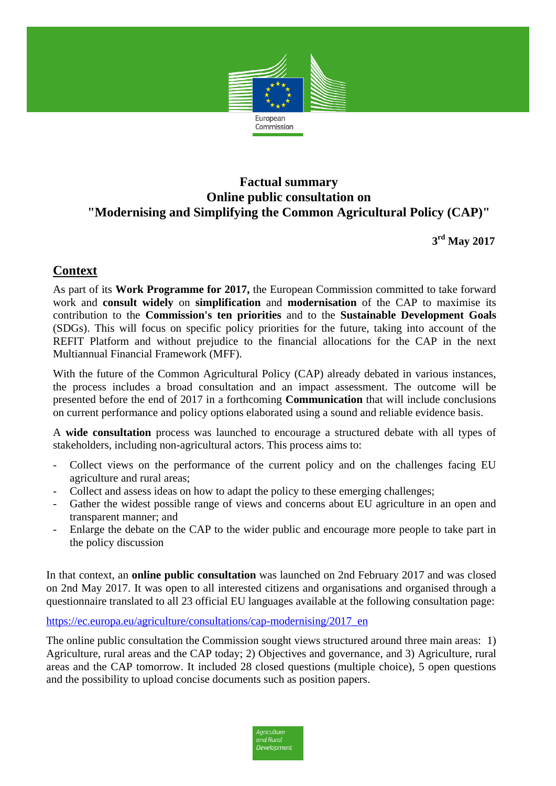

### **Factual summary Online public consultation on "Modernising and Simplifying the Common Agricultural Policy (CAP)"**

**3 rd May 2017**

### **Context**

As part of its **Work Programme for 2017,** the European Commission committed to take forward work and **consult widely** on **simplification** and **modernisation** of the CAP to maximise its contribution to the **Commission's ten priorities** and to the **Sustainable Development Goals**  (SDGs). This will focus on specific policy priorities for the future, taking into account of the REFIT Platform and without prejudice to the financial allocations for the CAP in the next Multiannual Financial Framework (MFF).

With the future of the Common Agricultural Policy (CAP) already debated in various instances, the process includes a broad consultation and an impact assessment. The outcome will be presented before the end of 2017 in a forthcoming **Communication** that will include conclusions on current performance and policy options elaborated using a sound and reliable evidence basis.

A **wide consultation** process was launched to encourage a structured debate with all types of stakeholders, including non-agricultural actors. This process aims to:

- Collect views on the performance of the current policy and on the challenges facing EU agriculture and rural areas;
- Collect and assess ideas on how to adapt the policy to these emerging challenges;
- Gather the widest possible range of views and concerns about EU agriculture in an open and transparent manner; and
- Enlarge the debate on the CAP to the wider public and encourage more people to take part in the policy discussion

In that context, an **online public consultation** was launched on 2nd February 2017 and was closed on 2nd May 2017. It was open to all interested citizens and organisations and organised through a questionnaire translated to all 23 official EU languages available at the following consultation page:

#### [https://ec.europa.eu/agriculture/consultations/cap-modernising/2017\\_en](https://ec.europa.eu/agriculture/consultations/cap-modernising/2017_en)

The online public consultation the Commission sought views structured around three main areas: 1) Agriculture, rural areas and the CAP today; 2) Objectives and governance, and 3) Agriculture, rural areas and the CAP tomorrow. It included 28 closed questions (multiple choice), 5 open questions and the possibility to upload concise documents such as position papers.

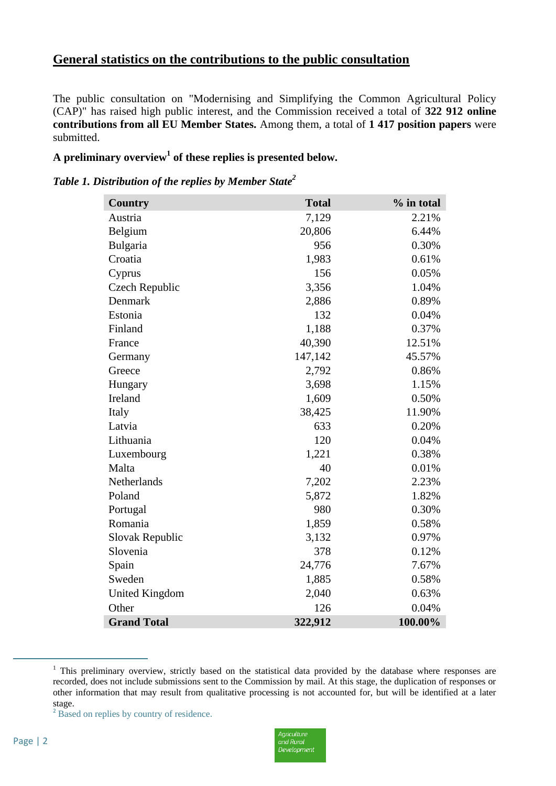## **General statistics on the contributions to the public consultation**

The public consultation on "Modernising and Simplifying the Common Agricultural Policy (CAP)" has raised high public interest, and the Commission received a total of **322 912 online contributions from all EU Member States.** Among them, a total of **1 417 position papers** were submitted.

#### **A preliminary overview<sup>1</sup> of these replies is presented below.**

#### *Table 1. Distribution of the replies by Member State<sup>2</sup>*

| <b>Country</b>        | <b>Total</b> | % in total |
|-----------------------|--------------|------------|
| Austria               | 7,129        | 2.21%      |
| Belgium               | 20,806       | 6.44%      |
| Bulgaria              | 956          | 0.30%      |
| Croatia               | 1,983        | 0.61%      |
| Cyprus                | 156          | 0.05%      |
| Czech Republic        | 3,356        | 1.04%      |
| Denmark               | 2,886        | 0.89%      |
| Estonia               | 132          | 0.04%      |
| Finland               | 1,188        | 0.37%      |
| France                | 40,390       | 12.51%     |
| Germany               | 147,142      | 45.57%     |
| Greece                | 2,792        | 0.86%      |
| Hungary               | 3,698        | 1.15%      |
| Ireland               | 1,609        | 0.50%      |
| Italy                 | 38,425       | 11.90%     |
| Latvia                | 633          | 0.20%      |
| Lithuania             | 120          | 0.04%      |
| Luxembourg            | 1,221        | 0.38%      |
| Malta                 | 40           | 0.01%      |
| Netherlands           | 7,202        | 2.23%      |
| Poland                | 5,872        | 1.82%      |
| Portugal              | 980          | 0.30%      |
| Romania               | 1,859        | 0.58%      |
| Slovak Republic       | 3,132        | 0.97%      |
| Slovenia              | 378          | 0.12%      |
| Spain                 | 24,776       | 7.67%      |
| Sweden                | 1,885        | 0.58%      |
| <b>United Kingdom</b> | 2,040        | 0.63%      |
| Other                 | 126          | 0.04%      |
| <b>Grand Total</b>    | 322,912      | 100.00%    |

 $<sup>1</sup>$  This preliminary overview, strictly based on the statistical data provided by the database where responses are</sup> recorded, does not include submissions sent to the Commission by mail. At this stage, the duplication of responses or other information that may result from qualitative processing is not accounted for, but will be identified at a later stage.



 $\overline{a}$ 

<sup>&</sup>lt;sup>2</sup> Based on replies by country of residence.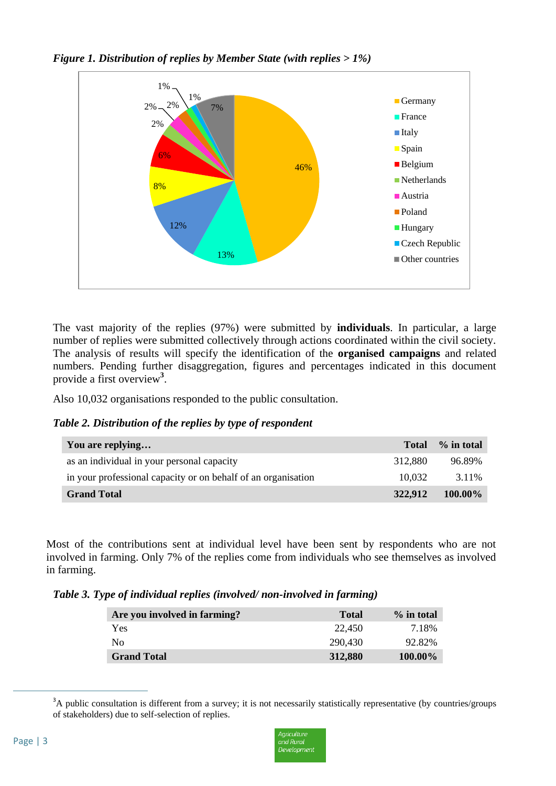*Figure 1. Distribution of replies by Member State (with replies > 1%)*



The vast majority of the replies (97%) were submitted by **individuals**. In particular, a large number of replies were submitted collectively through actions coordinated within the civil society. The analysis of results will specify the identification of the **organised campaigns** and related numbers. Pending further disaggregation, figures and percentages indicated in this document provide a first overview**<sup>3</sup>** .

Also 10,032 organisations responded to the public consultation.

*Table 2. Distribution of the replies by type of respondent* 

| You are replying                                              | <b>Total</b> | % in total |
|---------------------------------------------------------------|--------------|------------|
| as an individual in your personal capacity                    | 312.880      | 96.89%     |
| in your professional capacity or on behalf of an organisation | 10.032       | 3.11%      |
| <b>Grand Total</b>                                            | 322,912      | 100.00%    |

Most of the contributions sent at individual level have been sent by respondents who are not involved in farming. Only 7% of the replies come from individuals who see themselves as involved in farming.

*Table 3. Type of individual replies (involved/ non-involved in farming)* 

| Are you involved in farming? | <b>Total</b> | $\%$ in total |
|------------------------------|--------------|---------------|
| Yes.                         | 22,450       | 7.18%         |
| No                           | 290.430      | 92.82%        |
| <b>Grand Total</b>           | 312,880      | 100.00%       |

<sup>&</sup>lt;sup>3</sup>A public consultation is different from a survey; it is not necessarily statistically representative (by countries/groups of stakeholders) due to self-selection of replies.



 $\overline{a}$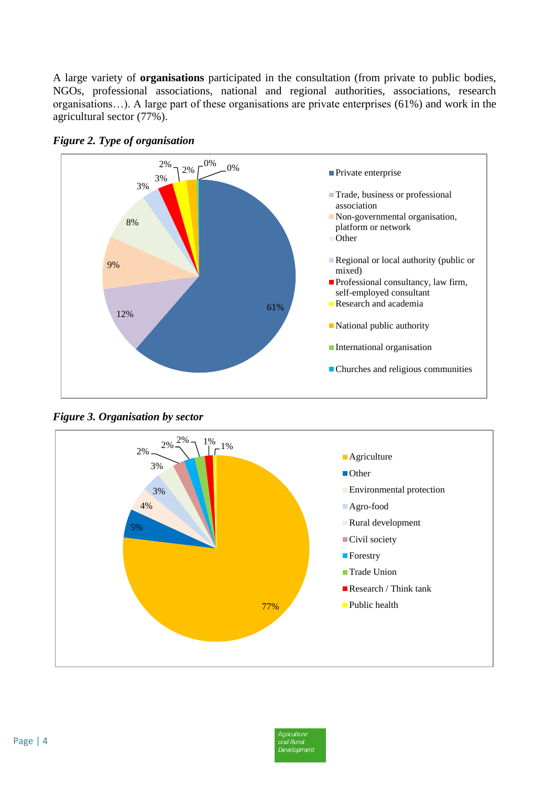A large variety of **organisations** participated in the consultation (from private to public bodies, NGOs, professional associations, national and regional authorities, associations, research organisations…). A large part of these organisations are private enterprises (61%) and work in the agricultural sector (77%).



*Figure 2. Type of organisation*

*Figure 3. Organisation by sector*